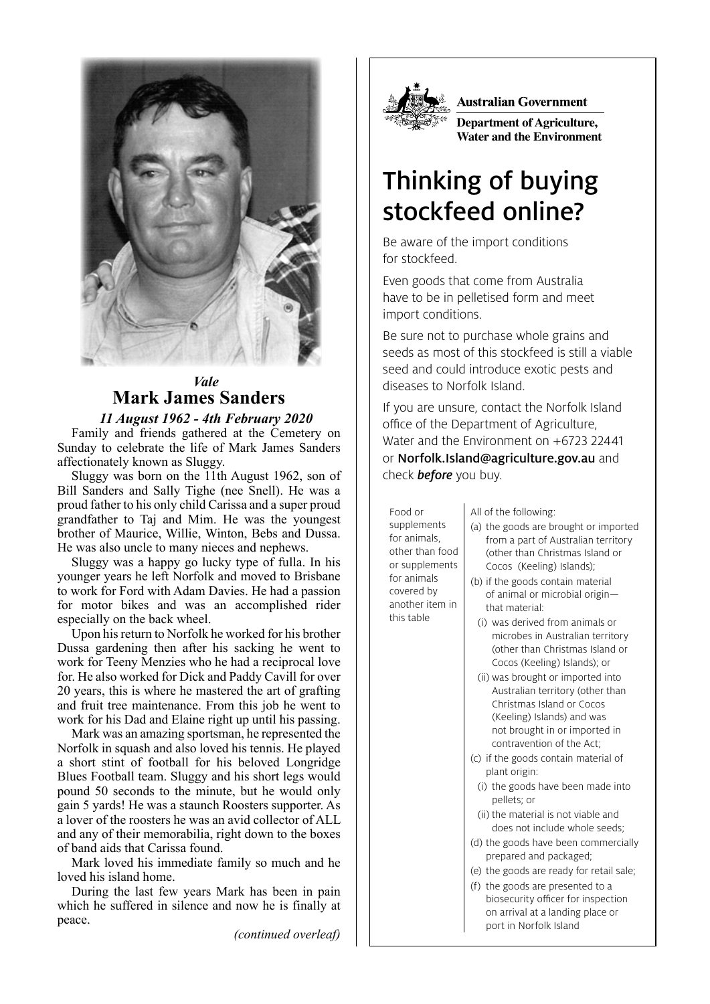

# *Vale* **Mark James Sanders**

*11 August 1962 - 4th February 2020* Family and friends gathered at the Cemetery on Family and friends gathered at the Cemetery on<br>Sunday to celebrate the life of Mark James Sanders<br>offectionately known as Slyczy affectionately known as Sluggy.

Sluggy was born on the 11th August 1962, son of Bill Sanders and Sally Tighe (nee Snell). He was a Bill Sanders and Sally Tighe (nee Snell). He was a<br>proud father to his only child Carissa and a super proud grandfather to Taj and Mim. He was the youngest brother of Maurice, Willie, Winton, Bebs and Dussa. He was also uncle to many nieces and nephews.

Sluggy was a happy go lucky type of fulla. In his younger years he left Norfolk and moved to Brisbane to work for Ford with Adam Davies. He had a passion for motor bikes and was an accomplished rider especially on the back wheel.

Upon his return to Norfolk he worked for his brother Dussa gardening then after his sacking he went to work for Teeny Menzies who he had a reciprocal love for. He also worked for Dick and Paddy Cavill for over 20 years, this is where he mastered the art of grafting and fruit tree maintenance. From this job he went to work for his Dad and Elaine right up until his passing.

Mark was an amazing sportsman, he represented the Norfolk in squash and also loved his tennis. He played a short stint of football for his beloved Longridge Blues Football team. Sluggy and his short legs would pound 50 seconds to the minute, but he would only gain 5 yards! He was a staunch Roosters supporter. As a lover of the roosters he was an avid collector of ALL and any of their memorabilia, right down to the boxes of band aids that Carissa found.

Mark loved his immediate family so much and he loved his island home.

During the last few years Mark has been in pain which he suffered in silence and now he is finally at peace.

*(continued overleaf)*



**Australian Government** 

**Department of Agriculture, Water and the Environment**

# Thinking of buying stockfeed online?

Be aware of the import conditions for stockfeed.

Even goods that come from Australia have to be in pelletised form and meet import conditions.

Be sure not to purchase whole grains and seeds as most of this stockfeed is still a viable seed and could introduce exotic pests and diseases to Norfolk Island.

If you are unsure, contact the Norfolk Island office of the Department of Agriculture, Water and the Environment on +6723 22441 or Norfolk.Island@agriculture.gov.au and check **before** you buy.

Food or supplements for animals, other than food or supplements for animals covered by another item in this table

All of the following:

- (a) the goods are brought or imported from a part of Australian territory (other than Christmas Island or Cocos (Keeling) Islands);
- (b) if the goods contain material of animal or microbial origin that material:
- (i) was derived from animals or microbes in Australian territory (other than Christmas Island or Cocos (Keeling) Islands); or
- (ii) was brought or imported into Australian territory (other than Christmas Island or Cocos (Keeling) Islands) and was not brought in or imported in contravention of the Act;
- (c) if the goods contain material of plant origin:
	- (i) the goods have been made into pellets; or
	- (ii) the material is not viable and does not include whole seeds;
- (d) the goods have been commercially prepared and packaged;
- (e) the goods are ready for retail sale;
- (f) the goods are presented to a biosecurity officer for inspection on arrival at a landing place or port in Norfolk Island